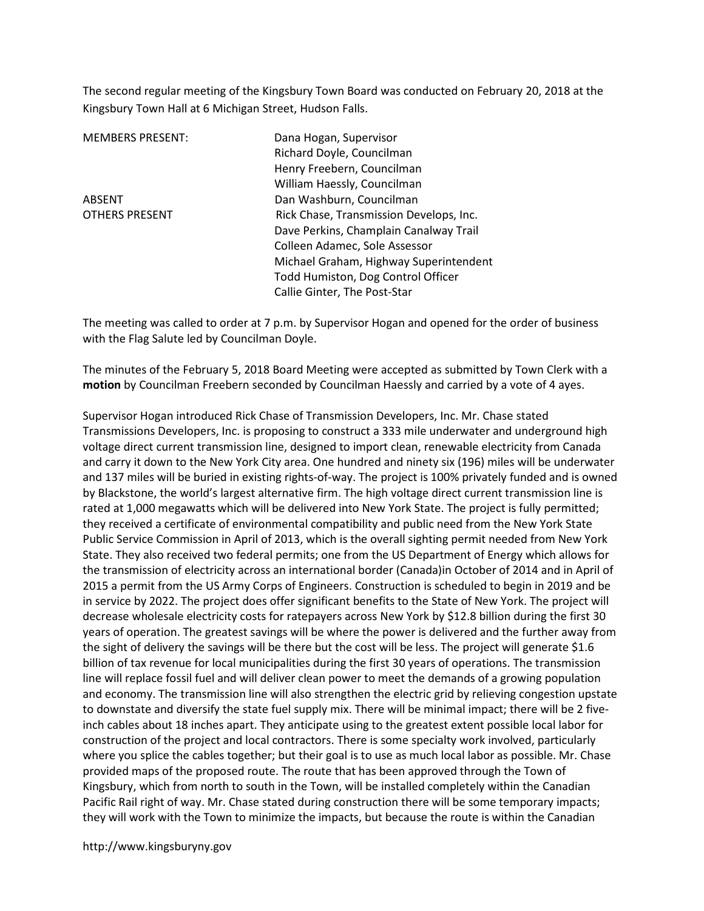The second regular meeting of the Kingsbury Town Board was conducted on February 20, 2018 at the Kingsbury Town Hall at 6 Michigan Street, Hudson Falls.

MEMBERS PRESENT: Dana Hogan, Supervisor Richard Doyle, Councilman Henry Freebern, Councilman William Haessly, Councilman ABSENT Dan Washburn, Councilman OTHERS PRESENT Rick Chase, Transmission Develops, Inc. Dave Perkins, Champlain Canalway Trail Colleen Adamec, Sole Assessor Michael Graham, Highway Superintendent Todd Humiston, Dog Control Officer Callie Ginter, The Post-Star

The meeting was called to order at 7 p.m. by Supervisor Hogan and opened for the order of business with the Flag Salute led by Councilman Doyle.

The minutes of the February 5, 2018 Board Meeting were accepted as submitted by Town Clerk with a motion by Councilman Freebern seconded by Councilman Haessly and carried by a vote of 4 ayes.

Supervisor Hogan introduced Rick Chase of Transmission Developers, Inc. Mr. Chase stated Transmissions Developers, Inc. is proposing to construct a 333 mile underwater and underground high voltage direct current transmission line, designed to import clean, renewable electricity from Canada and carry it down to the New York City area. One hundred and ninety six (196) miles will be underwater and 137 miles will be buried in existing rights-of-way. The project is 100% privately funded and is owned by Blackstone, the world's largest alternative firm. The high voltage direct current transmission line is rated at 1,000 megawatts which will be delivered into New York State. The project is fully permitted; they received a certificate of environmental compatibility and public need from the New York State Public Service Commission in April of 2013, which is the overall sighting permit needed from New York State. They also received two federal permits; one from the US Department of Energy which allows for the transmission of electricity across an international border (Canada)in October of 2014 and in April of 2015 a permit from the US Army Corps of Engineers. Construction is scheduled to begin in 2019 and be in service by 2022. The project does offer significant benefits to the State of New York. The project will decrease wholesale electricity costs for ratepayers across New York by \$12.8 billion during the first 30 years of operation. The greatest savings will be where the power is delivered and the further away from the sight of delivery the savings will be there but the cost will be less. The project will generate \$1.6 billion of tax revenue for local municipalities during the first 30 years of operations. The transmission line will replace fossil fuel and will deliver clean power to meet the demands of a growing population and economy. The transmission line will also strengthen the electric grid by relieving congestion upstate to downstate and diversify the state fuel supply mix. There will be minimal impact; there will be 2 fiveinch cables about 18 inches apart. They anticipate using to the greatest extent possible local labor for construction of the project and local contractors. There is some specialty work involved, particularly where you splice the cables together; but their goal is to use as much local labor as possible. Mr. Chase provided maps of the proposed route. The route that has been approved through the Town of Kingsbury, which from north to south in the Town, will be installed completely within the Canadian Pacific Rail right of way. Mr. Chase stated during construction there will be some temporary impacts; they will work with the Town to minimize the impacts, but because the route is within the Canadian

http://www.kingsburyny.gov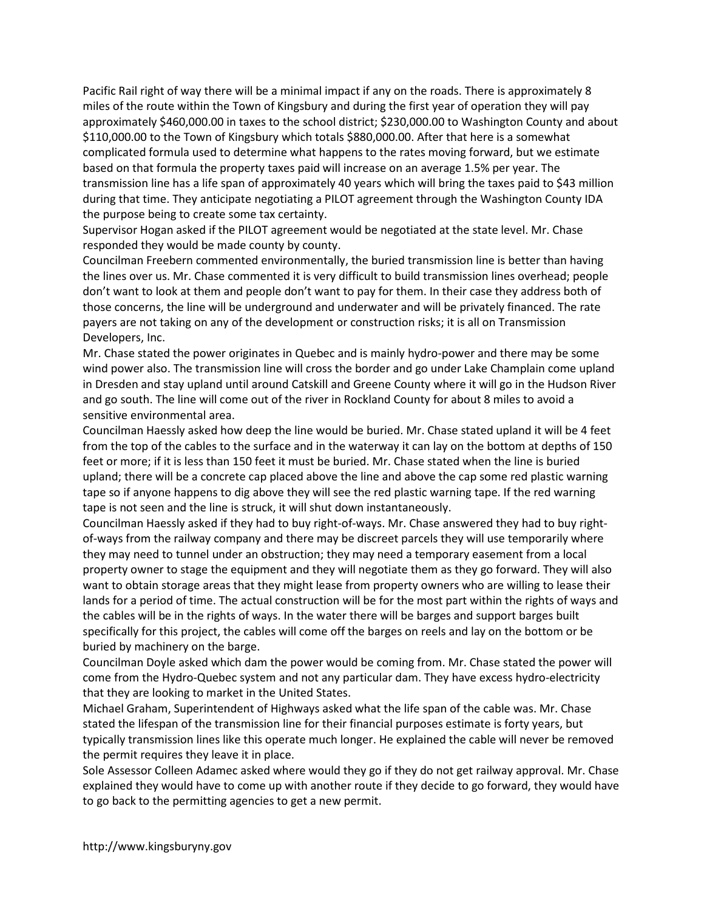Pacific Rail right of way there will be a minimal impact if any on the roads. There is approximately 8 miles of the route within the Town of Kingsbury and during the first year of operation they will pay approximately \$460,000.00 in taxes to the school district; \$230,000.00 to Washington County and about \$110,000.00 to the Town of Kingsbury which totals \$880,000.00. After that here is a somewhat complicated formula used to determine what happens to the rates moving forward, but we estimate based on that formula the property taxes paid will increase on an average 1.5% per year. The transmission line has a life span of approximately 40 years which will bring the taxes paid to \$43 million during that time. They anticipate negotiating a PILOT agreement through the Washington County IDA the purpose being to create some tax certainty.

Supervisor Hogan asked if the PILOT agreement would be negotiated at the state level. Mr. Chase responded they would be made county by county.

Councilman Freebern commented environmentally, the buried transmission line is better than having the lines over us. Mr. Chase commented it is very difficult to build transmission lines overhead; people don't want to look at them and people don't want to pay for them. In their case they address both of those concerns, the line will be underground and underwater and will be privately financed. The rate payers are not taking on any of the development or construction risks; it is all on Transmission Developers, Inc.

Mr. Chase stated the power originates in Quebec and is mainly hydro-power and there may be some wind power also. The transmission line will cross the border and go under Lake Champlain come upland in Dresden and stay upland until around Catskill and Greene County where it will go in the Hudson River and go south. The line will come out of the river in Rockland County for about 8 miles to avoid a sensitive environmental area.

Councilman Haessly asked how deep the line would be buried. Mr. Chase stated upland it will be 4 feet from the top of the cables to the surface and in the waterway it can lay on the bottom at depths of 150 feet or more; if it is less than 150 feet it must be buried. Mr. Chase stated when the line is buried upland; there will be a concrete cap placed above the line and above the cap some red plastic warning tape so if anyone happens to dig above they will see the red plastic warning tape. If the red warning tape is not seen and the line is struck, it will shut down instantaneously.

Councilman Haessly asked if they had to buy right-of-ways. Mr. Chase answered they had to buy rightof-ways from the railway company and there may be discreet parcels they will use temporarily where they may need to tunnel under an obstruction; they may need a temporary easement from a local property owner to stage the equipment and they will negotiate them as they go forward. They will also want to obtain storage areas that they might lease from property owners who are willing to lease their lands for a period of time. The actual construction will be for the most part within the rights of ways and the cables will be in the rights of ways. In the water there will be barges and support barges built specifically for this project, the cables will come off the barges on reels and lay on the bottom or be buried by machinery on the barge.

Councilman Doyle asked which dam the power would be coming from. Mr. Chase stated the power will come from the Hydro-Quebec system and not any particular dam. They have excess hydro-electricity that they are looking to market in the United States.

Michael Graham, Superintendent of Highways asked what the life span of the cable was. Mr. Chase stated the lifespan of the transmission line for their financial purposes estimate is forty years, but typically transmission lines like this operate much longer. He explained the cable will never be removed the permit requires they leave it in place.

Sole Assessor Colleen Adamec asked where would they go if they do not get railway approval. Mr. Chase explained they would have to come up with another route if they decide to go forward, they would have to go back to the permitting agencies to get a new permit.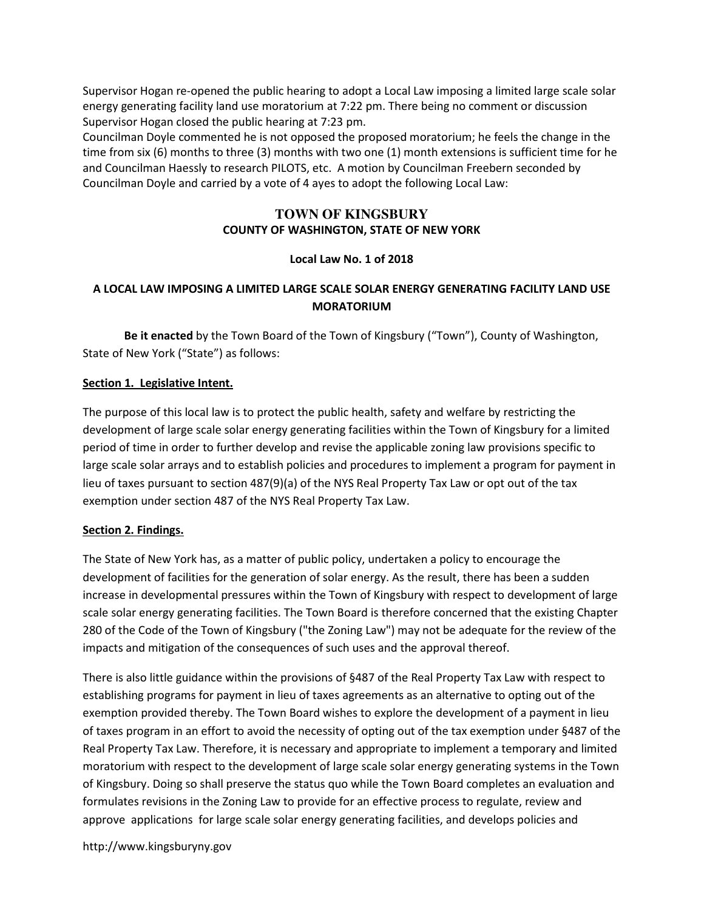Supervisor Hogan re-opened the public hearing to adopt a Local Law imposing a limited large scale solar energy generating facility land use moratorium at 7:22 pm. There being no comment or discussion Supervisor Hogan closed the public hearing at 7:23 pm.

Councilman Doyle commented he is not opposed the proposed moratorium; he feels the change in the time from six (6) months to three (3) months with two one (1) month extensions is sufficient time for he and Councilman Haessly to research PILOTS, etc. A motion by Councilman Freebern seconded by Councilman Doyle and carried by a vote of 4 ayes to adopt the following Local Law:

#### **TOWN OF KINGSBURY**  COUNTY OF WASHINGTON, STATE OF NEW YORK

### Local Law No. 1 of 2018

# A LOCAL LAW IMPOSING A LIMITED LARGE SCALE SOLAR ENERGY GENERATING FACILITY LAND USE MORATORIUM

 Be it enacted by the Town Board of the Town of Kingsbury ("Town"), County of Washington, State of New York ("State") as follows:

#### Section 1. Legislative Intent.

The purpose of this local law is to protect the public health, safety and welfare by restricting the development of large scale solar energy generating facilities within the Town of Kingsbury for a limited period of time in order to further develop and revise the applicable zoning law provisions specific to large scale solar arrays and to establish policies and procedures to implement a program for payment in lieu of taxes pursuant to section 487(9)(a) of the NYS Real Property Tax Law or opt out of the tax exemption under section 487 of the NYS Real Property Tax Law.

#### Section 2. Findings.

The State of New York has, as a matter of public policy, undertaken a policy to encourage the development of facilities for the generation of solar energy. As the result, there has been a sudden increase in developmental pressures within the Town of Kingsbury with respect to development of large scale solar energy generating facilities. The Town Board is therefore concerned that the existing Chapter 280 of the Code of the Town of Kingsbury ("the Zoning Law") may not be adequate for the review of the impacts and mitigation of the consequences of such uses and the approval thereof.

There is also little guidance within the provisions of §487 of the Real Property Tax Law with respect to establishing programs for payment in lieu of taxes agreements as an alternative to opting out of the exemption provided thereby. The Town Board wishes to explore the development of a payment in lieu of taxes program in an effort to avoid the necessity of opting out of the tax exemption under §487 of the Real Property Tax Law. Therefore, it is necessary and appropriate to implement a temporary and limited moratorium with respect to the development of large scale solar energy generating systems in the Town of Kingsbury. Doing so shall preserve the status quo while the Town Board completes an evaluation and formulates revisions in the Zoning Law to provide for an effective process to regulate, review and approve applications for large scale solar energy generating facilities, and develops policies and

http://www.kingsburyny.gov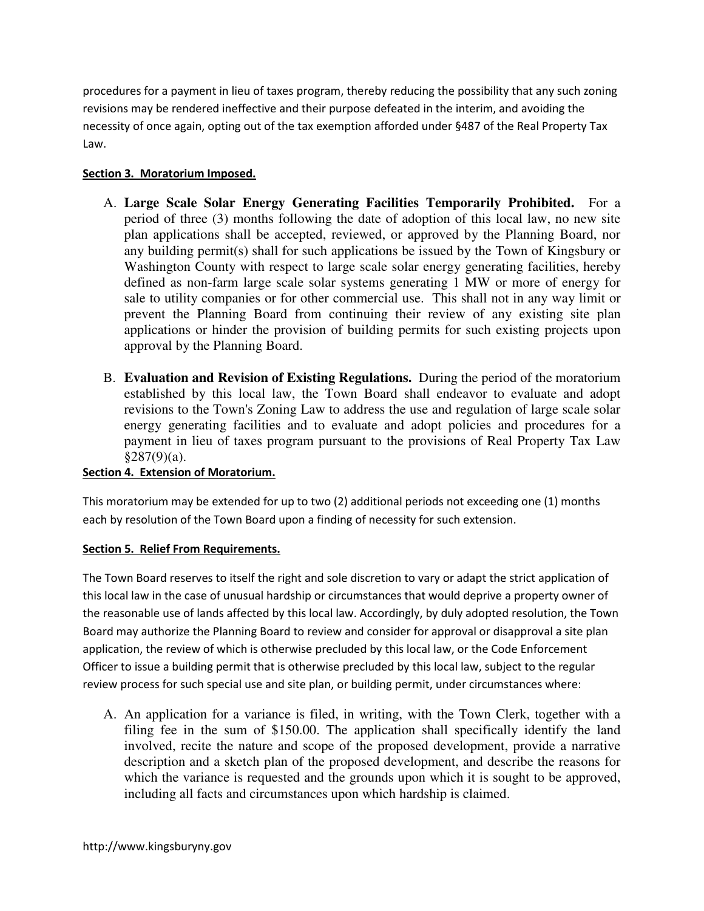procedures for a payment in lieu of taxes program, thereby reducing the possibility that any such zoning revisions may be rendered ineffective and their purpose defeated in the interim, and avoiding the necessity of once again, opting out of the tax exemption afforded under §487 of the Real Property Tax Law.

# Section 3. Moratorium Imposed.

- A. **Large Scale Solar Energy Generating Facilities Temporarily Prohibited.** For a period of three (3) months following the date of adoption of this local law, no new site plan applications shall be accepted, reviewed, or approved by the Planning Board, nor any building permit(s) shall for such applications be issued by the Town of Kingsbury or Washington County with respect to large scale solar energy generating facilities, hereby defined as non-farm large scale solar systems generating 1 MW or more of energy for sale to utility companies or for other commercial use. This shall not in any way limit or prevent the Planning Board from continuing their review of any existing site plan applications or hinder the provision of building permits for such existing projects upon approval by the Planning Board.
- B. **Evaluation and Revision of Existing Regulations.** During the period of the moratorium established by this local law, the Town Board shall endeavor to evaluate and adopt revisions to the Town's Zoning Law to address the use and regulation of large scale solar energy generating facilities and to evaluate and adopt policies and procedures for a payment in lieu of taxes program pursuant to the provisions of Real Property Tax Law §287(9)(a).

### Section 4. Extension of Moratorium.

This moratorium may be extended for up to two (2) additional periods not exceeding one (1) months each by resolution of the Town Board upon a finding of necessity for such extension.

### Section 5. Relief From Requirements.

The Town Board reserves to itself the right and sole discretion to vary or adapt the strict application of this local law in the case of unusual hardship or circumstances that would deprive a property owner of the reasonable use of lands affected by this local law. Accordingly, by duly adopted resolution, the Town Board may authorize the Planning Board to review and consider for approval or disapproval a site plan application, the review of which is otherwise precluded by this local law, or the Code Enforcement Officer to issue a building permit that is otherwise precluded by this local law, subject to the regular review process for such special use and site plan, or building permit, under circumstances where:

A. An application for a variance is filed, in writing, with the Town Clerk, together with a filing fee in the sum of \$150.00. The application shall specifically identify the land involved, recite the nature and scope of the proposed development, provide a narrative description and a sketch plan of the proposed development, and describe the reasons for which the variance is requested and the grounds upon which it is sought to be approved, including all facts and circumstances upon which hardship is claimed.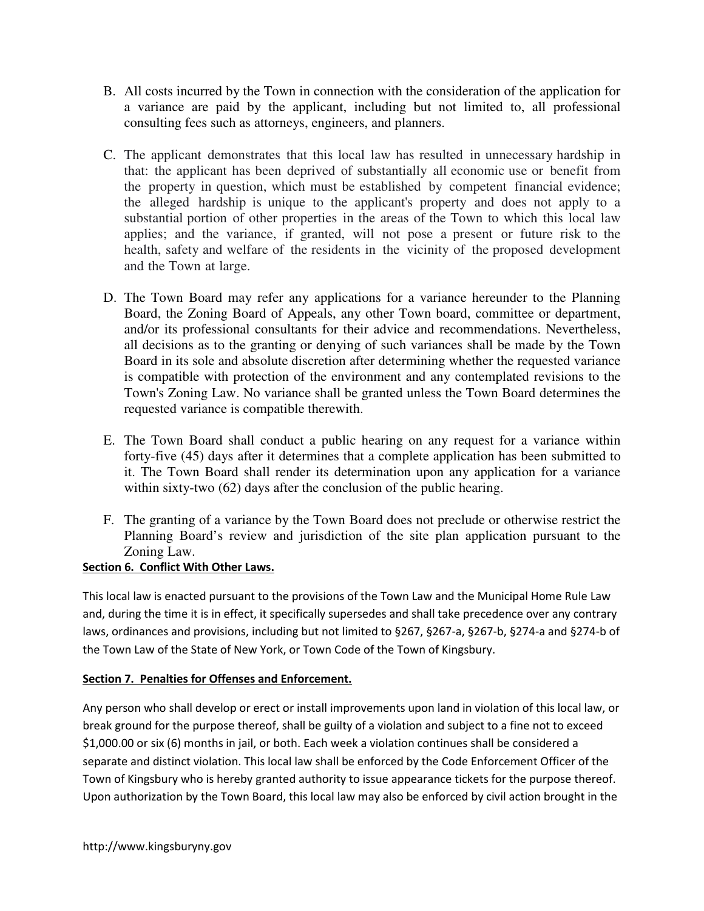- B. All costs incurred by the Town in connection with the consideration of the application for a variance are paid by the applicant, including but not limited to, all professional consulting fees such as attorneys, engineers, and planners.
- C. The applicant demonstrates that this local law has resulted in unnecessary hardship in that: the applicant has been deprived of substantially all economic use or benefit from the property in question, which must be established by competent financial evidence; the alleged hardship is unique to the applicant's property and does not apply to a substantial portion of other properties in the areas of the Town to which this local law applies; and the variance, if granted, will not pose a present or future risk to the health, safety and welfare of the residents in the vicinity of the proposed development and the Town at large.
- D. The Town Board may refer any applications for a variance hereunder to the Planning Board, the Zoning Board of Appeals, any other Town board, committee or department, and/or its professional consultants for their advice and recommendations. Nevertheless, all decisions as to the granting or denying of such variances shall be made by the Town Board in its sole and absolute discretion after determining whether the requested variance is compatible with protection of the environment and any contemplated revisions to the Town's Zoning Law. No variance shall be granted unless the Town Board determines the requested variance is compatible therewith.
- E. The Town Board shall conduct a public hearing on any request for a variance within forty-five (45) days after it determines that a complete application has been submitted to it. The Town Board shall render its determination upon any application for a variance within sixty-two (62) days after the conclusion of the public hearing.
- F. The granting of a variance by the Town Board does not preclude or otherwise restrict the Planning Board's review and jurisdiction of the site plan application pursuant to the Zoning Law.

## Section 6. Conflict With Other Laws.

This local law is enacted pursuant to the provisions of the Town Law and the Municipal Home Rule Law and, during the time it is in effect, it specifically supersedes and shall take precedence over any contrary laws, ordinances and provisions, including but not limited to §267, §267-a, §267-b, §274-a and §274-b of the Town Law of the State of New York, or Town Code of the Town of Kingsbury.

### Section 7. Penalties for Offenses and Enforcement.

Any person who shall develop or erect or install improvements upon land in violation of this local law, or break ground for the purpose thereof, shall be guilty of a violation and subject to a fine not to exceed \$1,000.00 or six (6) months in jail, or both. Each week a violation continues shall be considered a separate and distinct violation. This local law shall be enforced by the Code Enforcement Officer of the Town of Kingsbury who is hereby granted authority to issue appearance tickets for the purpose thereof. Upon authorization by the Town Board, this local law may also be enforced by civil action brought in the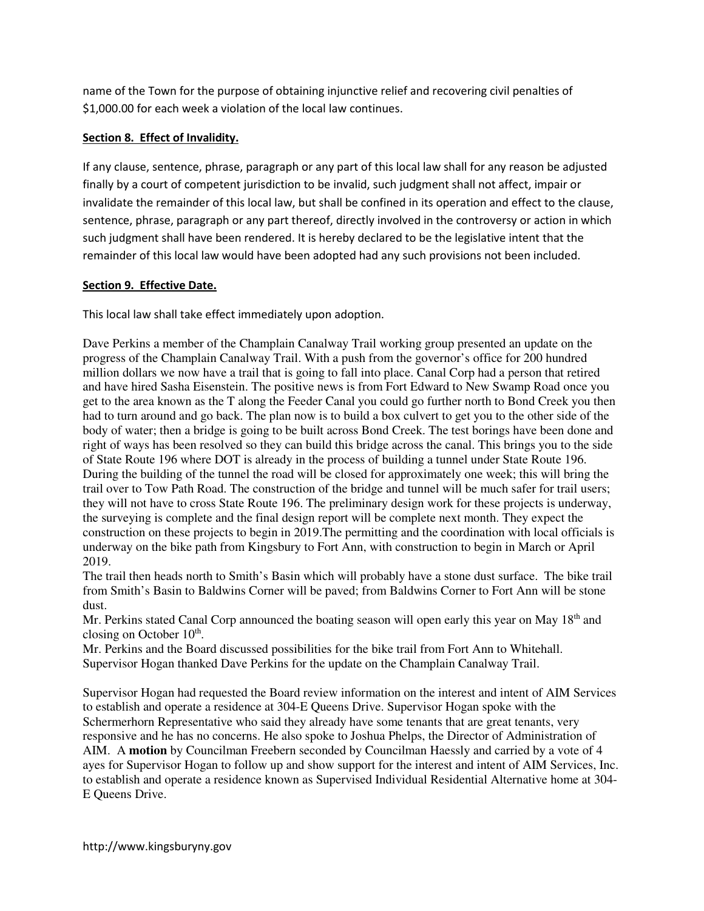name of the Town for the purpose of obtaining injunctive relief and recovering civil penalties of \$1,000.00 for each week a violation of the local law continues.

## Section 8. Effect of Invalidity.

If any clause, sentence, phrase, paragraph or any part of this local law shall for any reason be adjusted finally by a court of competent jurisdiction to be invalid, such judgment shall not affect, impair or invalidate the remainder of this local law, but shall be confined in its operation and effect to the clause, sentence, phrase, paragraph or any part thereof, directly involved in the controversy or action in which such judgment shall have been rendered. It is hereby declared to be the legislative intent that the remainder of this local law would have been adopted had any such provisions not been included.

### Section 9. Effective Date.

This local law shall take effect immediately upon adoption.

Dave Perkins a member of the Champlain Canalway Trail working group presented an update on the progress of the Champlain Canalway Trail. With a push from the governor's office for 200 hundred million dollars we now have a trail that is going to fall into place. Canal Corp had a person that retired and have hired Sasha Eisenstein. The positive news is from Fort Edward to New Swamp Road once you get to the area known as the T along the Feeder Canal you could go further north to Bond Creek you then had to turn around and go back. The plan now is to build a box culvert to get you to the other side of the body of water; then a bridge is going to be built across Bond Creek. The test borings have been done and right of ways has been resolved so they can build this bridge across the canal. This brings you to the side of State Route 196 where DOT is already in the process of building a tunnel under State Route 196. During the building of the tunnel the road will be closed for approximately one week; this will bring the trail over to Tow Path Road. The construction of the bridge and tunnel will be much safer for trail users; they will not have to cross State Route 196. The preliminary design work for these projects is underway, the surveying is complete and the final design report will be complete next month. They expect the construction on these projects to begin in 2019.The permitting and the coordination with local officials is underway on the bike path from Kingsbury to Fort Ann, with construction to begin in March or April 2019.

The trail then heads north to Smith's Basin which will probably have a stone dust surface. The bike trail from Smith's Basin to Baldwins Corner will be paved; from Baldwins Corner to Fort Ann will be stone dust.

Mr. Perkins stated Canal Corp announced the boating season will open early this year on May  $18<sup>th</sup>$  and closing on October  $10<sup>th</sup>$ .

Mr. Perkins and the Board discussed possibilities for the bike trail from Fort Ann to Whitehall. Supervisor Hogan thanked Dave Perkins for the update on the Champlain Canalway Trail.

Supervisor Hogan had requested the Board review information on the interest and intent of AIM Services to establish and operate a residence at 304-E Queens Drive. Supervisor Hogan spoke with the Schermerhorn Representative who said they already have some tenants that are great tenants, very responsive and he has no concerns. He also spoke to Joshua Phelps, the Director of Administration of AIM. A **motion** by Councilman Freebern seconded by Councilman Haessly and carried by a vote of 4 ayes for Supervisor Hogan to follow up and show support for the interest and intent of AIM Services, Inc. to establish and operate a residence known as Supervised Individual Residential Alternative home at 304- E Queens Drive.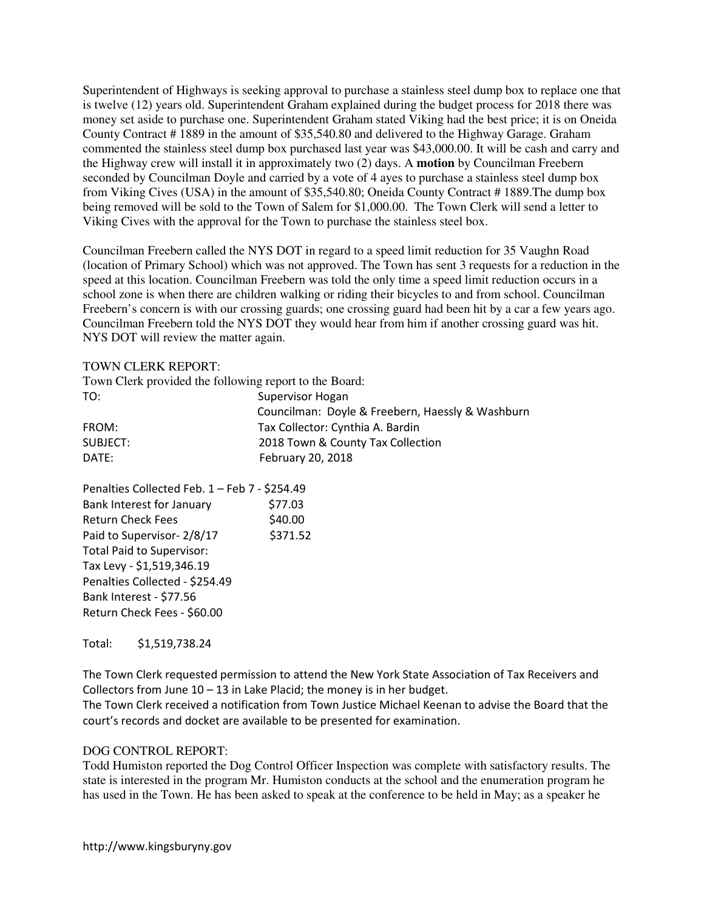Superintendent of Highways is seeking approval to purchase a stainless steel dump box to replace one that is twelve (12) years old. Superintendent Graham explained during the budget process for 2018 there was money set aside to purchase one. Superintendent Graham stated Viking had the best price; it is on Oneida County Contract # 1889 in the amount of \$35,540.80 and delivered to the Highway Garage. Graham commented the stainless steel dump box purchased last year was \$43,000.00. It will be cash and carry and the Highway crew will install it in approximately two (2) days. A **motion** by Councilman Freebern seconded by Councilman Doyle and carried by a vote of 4 ayes to purchase a stainless steel dump box from Viking Cives (USA) in the amount of \$35,540.80; Oneida County Contract # 1889.The dump box being removed will be sold to the Town of Salem for \$1,000.00. The Town Clerk will send a letter to Viking Cives with the approval for the Town to purchase the stainless steel box.

Councilman Freebern called the NYS DOT in regard to a speed limit reduction for 35 Vaughn Road (location of Primary School) which was not approved. The Town has sent 3 requests for a reduction in the speed at this location. Councilman Freebern was told the only time a speed limit reduction occurs in a school zone is when there are children walking or riding their bicycles to and from school. Councilman Freebern's concern is with our crossing guards; one crossing guard had been hit by a car a few years ago. Councilman Freebern told the NYS DOT they would hear from him if another crossing guard was hit. NYS DOT will review the matter again.

#### TOWN CLERK REPORT:

| Town Clerk provided the following report to the Board: |                                                  |
|--------------------------------------------------------|--------------------------------------------------|
| TO:                                                    | Supervisor Hogan                                 |
|                                                        | Councilman: Doyle & Freebern, Haessly & Washburn |
| FROM:                                                  | Tax Collector: Cynthia A. Bardin                 |
| SUBJECT:                                               | 2018 Town & County Tax Collection                |
| DATE:                                                  | February 20, 2018                                |

| Penalties Collected Feb. 1 - Feb 7 - \$254.49 |          |
|-----------------------------------------------|----------|
| Bank Interest for January                     | \$77.03  |
| <b>Return Check Fees</b>                      | \$40.00  |
| Paid to Supervisor- 2/8/17                    | \$371.52 |
| <b>Total Paid to Supervisor:</b>              |          |
| Tax Levy - \$1,519,346.19                     |          |
| Penalties Collected - \$254.49                |          |
| Bank Interest - \$77.56                       |          |
| Return Check Fees - \$60.00                   |          |

Total: \$1,519,738.24

The Town Clerk requested permission to attend the New York State Association of Tax Receivers and Collectors from June 10 – 13 in Lake Placid; the money is in her budget.

The Town Clerk received a notification from Town Justice Michael Keenan to advise the Board that the court's records and docket are available to be presented for examination.

#### DOG CONTROL REPORT:

Todd Humiston reported the Dog Control Officer Inspection was complete with satisfactory results. The state is interested in the program Mr. Humiston conducts at the school and the enumeration program he has used in the Town. He has been asked to speak at the conference to be held in May; as a speaker he